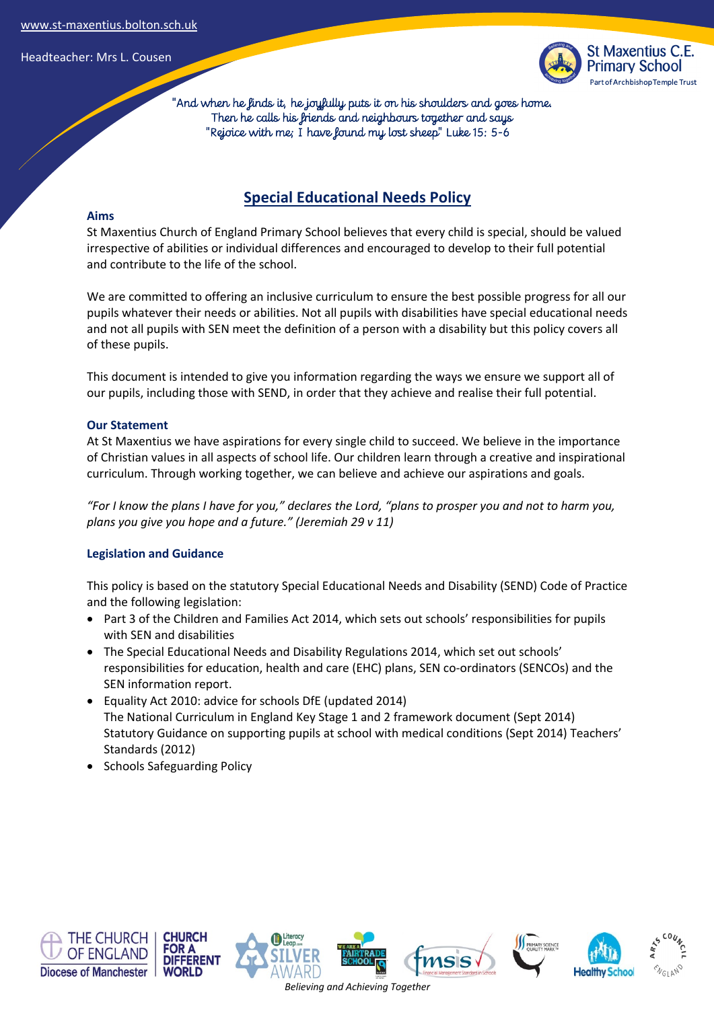

 "And when he finds it, he joyfully puts it on his shoulders and goes home. Then he calls his friends and neighbours together and says "Rejoice with me; I have found my lost sheep" Luke 15: 5-6

# **Special Educational Needs Policy**

# **Aims**

St Maxentius Church of England Primary School believes that every child is special, should be valued irrespective of abilities or individual differences and encouraged to develop to their full potential and contribute to the life of the school.

We are committed to offering an inclusive curriculum to ensure the best possible progress for all our pupils whatever their needs or abilities. Not all pupils with disabilities have special educational needs and not all pupils with SEN meet the definition of a person with a disability but this policy covers all of these pupils.

This document is intended to give you information regarding the ways we ensure we support all of our pupils, including those with SEND, in order that they achieve and realise their full potential.

### **Our Statement**

At St Maxentius we have aspirations for every single child to succeed. We believe in the importance of Christian values in all aspects of school life. Our children learn through a creative and inspirational curriculum. Through working together, we can believe and achieve our aspirations and goals.

*"For I know the plans I have for you," declares the Lord, "plans to prosper you and not to harm you, plans you give you hope and a future." (Jeremiah 29 v 11)* 

# **Legislation and Guidance**

This policy is based on the statutory Special Educational Needs and Disability (SEND) Code of Practice and the following legislation:

- Part 3 of the Children and Families Act 2014, which sets out schools' responsibilities for pupils with SEN and disabilities
- The Special Educational Needs and Disability Regulations 2014, which set out schools' responsibilities for education, health and care (EHC) plans, SEN co-ordinators (SENCOs) and the SEN information report.
- Equality Act 2010: advice for schools DfE (updated 2014) The National Curriculum in England Key Stage 1 and 2 framework document (Sept 2014) Statutory Guidance on supporting pupils at school with medical conditions (Sept 2014) Teachers' Standards (2012)
- Schools Safeguarding Policy











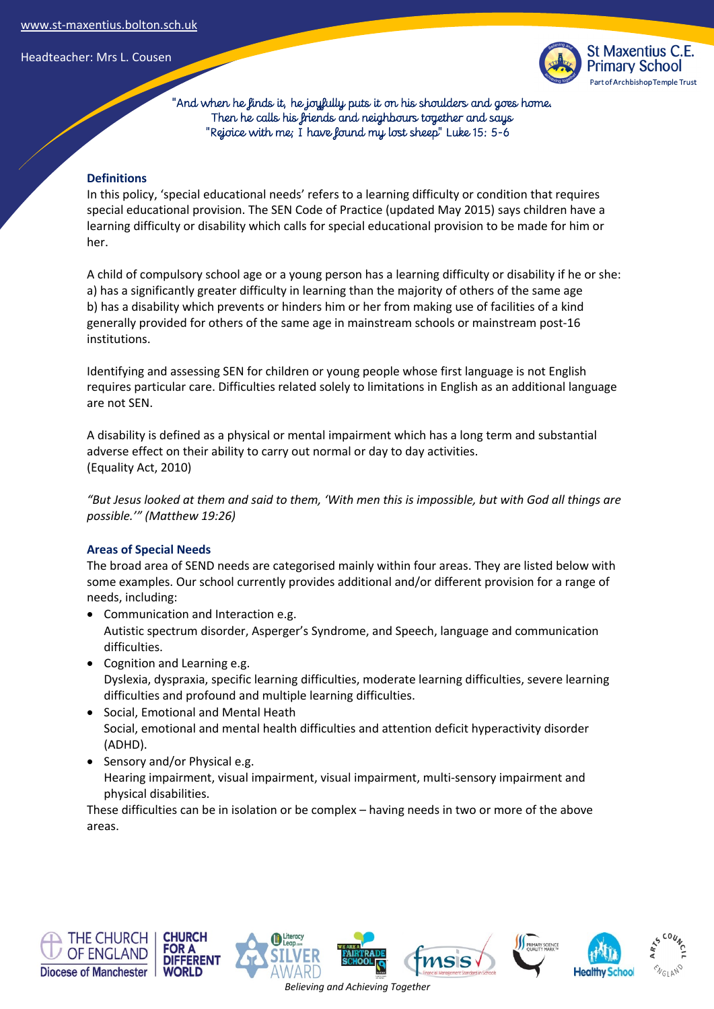

 "And when he finds it, he joyfully puts it on his shoulders and goes home. Then he calls his friends and neighbours together and says "Rejoice with me; I have found my lost sheep" Luke 15: 5-6

# **Definitions**

In this policy, 'special educational needs' refers to a learning difficulty or condition that requires special educational provision. The SEN Code of Practice (updated May 2015) says children have a learning difficulty or disability which calls for special educational provision to be made for him or her.

A child of compulsory school age or a young person has a learning difficulty or disability if he or she: a) has a significantly greater difficulty in learning than the majority of others of the same age b) has a disability which prevents or hinders him or her from making use of facilities of a kind generally provided for others of the same age in mainstream schools or mainstream post-16 institutions.

Identifying and assessing SEN for children or young people whose first language is not English requires particular care. Difficulties related solely to limitations in English as an additional language are not SEN.

A disability is defined as a physical or mental impairment which has a long term and substantial adverse effect on their ability to carry out normal or day to day activities. (Equality Act, 2010)

*"But Jesus looked at them and said to them, 'With men this is impossible, but with God all things are possible.'" (Matthew 19:26)* 

# **Areas of Special Needs**

The broad area of SEND needs are categorised mainly within four areas. They are listed below with some examples. Our school currently provides additional and/or different provision for a range of needs, including:

- Communication and Interaction e.g. Autistic spectrum disorder, Asperger's Syndrome, and Speech, language and communication difficulties.
- Cognition and Learning e.g. Dyslexia, dyspraxia, specific learning difficulties, moderate learning difficulties, severe learning difficulties and profound and multiple learning difficulties.
- Social, Emotional and Mental Heath Social, emotional and mental health difficulties and attention deficit hyperactivity disorder (ADHD).
- Sensory and/or Physical e.g. Hearing impairment, visual impairment, visual impairment, multi-sensory impairment and physical disabilities.

These difficulties can be in isolation or be complex – having needs in two or more of the above areas.











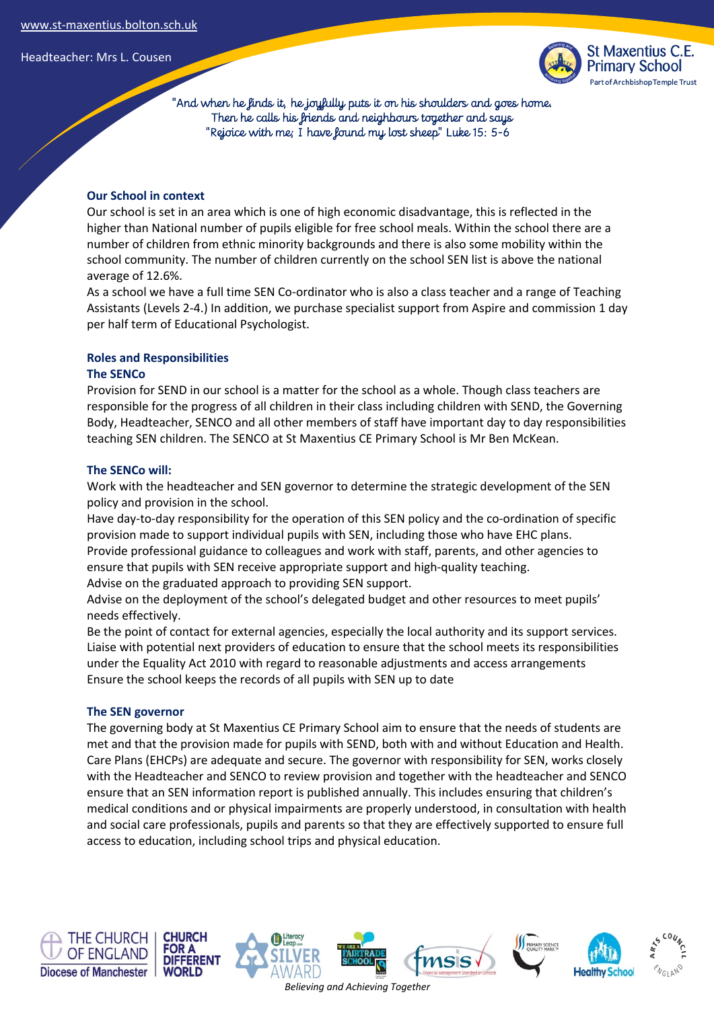

 "And when he finds it, he joyfully puts it on his shoulders and goes home. Then he calls his friends and neighbours together and says "Rejoice with me; I have found my lost sheep" Luke 15: 5-6

### **Our School in context**

Our school is set in an area which is one of high economic disadvantage, this is reflected in the higher than National number of pupils eligible for free school meals. Within the school there are a number of children from ethnic minority backgrounds and there is also some mobility within the school community. The number of children currently on the school SEN list is above the national average of 12.6%.

As a school we have a full time SEN Co-ordinator who is also a class teacher and a range of Teaching Assistants (Levels 2-4.) In addition, we purchase specialist support from Aspire and commission 1 day per half term of Educational Psychologist.

### **Roles and Responsibilities**

### **The SENCo**

Provision for SEND in our school is a matter for the school as a whole. Though class teachers are responsible for the progress of all children in their class including children with SEND, the Governing Body, Headteacher, SENCO and all other members of staff have important day to day responsibilities teaching SEN children. The SENCO at St Maxentius CE Primary School is Mr Ben McKean.

#### **The SENCo will:**

Work with the headteacher and SEN governor to determine the strategic development of the SEN policy and provision in the school.

Have day-to-day responsibility for the operation of this SEN policy and the co-ordination of specific provision made to support individual pupils with SEN, including those who have EHC plans. Provide professional guidance to colleagues and work with staff, parents, and other agencies to ensure that pupils with SEN receive appropriate support and high-quality teaching.

Advise on the graduated approach to providing SEN support.

Advise on the deployment of the school's delegated budget and other resources to meet pupils' needs effectively.

Be the point of contact for external agencies, especially the local authority and its support services. Liaise with potential next providers of education to ensure that the school meets its responsibilities under the Equality Act 2010 with regard to reasonable adjustments and access arrangements Ensure the school keeps the records of all pupils with SEN up to date

#### **The SEN governor**

The governing body at St Maxentius CE Primary School aim to ensure that the needs of students are met and that the provision made for pupils with SEND, both with and without Education and Health. Care Plans (EHCPs) are adequate and secure. The governor with responsibility for SEN, works closely with the Headteacher and SENCO to review provision and together with the headteacher and SENCO ensure that an SEN information report is published annually. This includes ensuring that children's medical conditions and or physical impairments are properly understood, in consultation with health and social care professionals, pupils and parents so that they are effectively supported to ensure full access to education, including school trips and physical education.











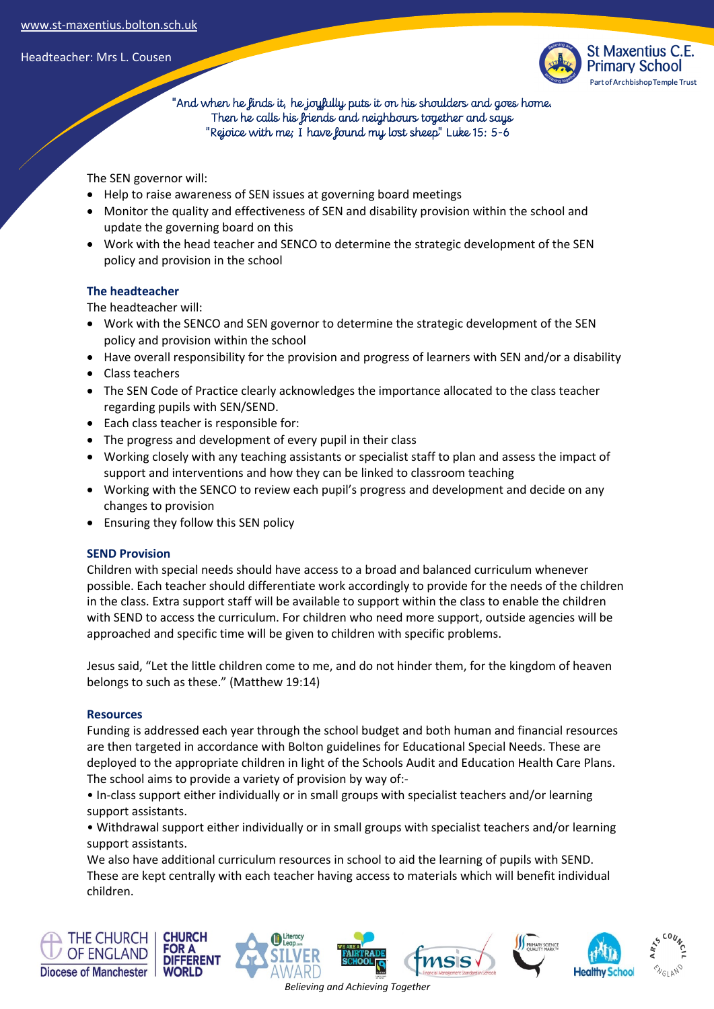

 "And when he finds it, he joyfully puts it on his shoulders and goes home. Then he calls his friends and neighbours together and says "Rejoice with me; I have found my lost sheep" Luke 15: 5-6

The SEN governor will:

- Help to raise awareness of SEN issues at governing board meetings
- Monitor the quality and effectiveness of SEN and disability provision within the school and update the governing board on this
- Work with the head teacher and SENCO to determine the strategic development of the SEN policy and provision in the school

# **The headteacher**

The headteacher will:

- Work with the SENCO and SEN governor to determine the strategic development of the SEN policy and provision within the school
- Have overall responsibility for the provision and progress of learners with SEN and/or a disability
- Class teachers
- The SEN Code of Practice clearly acknowledges the importance allocated to the class teacher regarding pupils with SEN/SEND.
- Each class teacher is responsible for:
- The progress and development of every pupil in their class
- Working closely with any teaching assistants or specialist staff to plan and assess the impact of support and interventions and how they can be linked to classroom teaching
- Working with the SENCO to review each pupil's progress and development and decide on any changes to provision
- Ensuring they follow this SEN policy

# **SEND Provision**

Children with special needs should have access to a broad and balanced curriculum whenever possible. Each teacher should differentiate work accordingly to provide for the needs of the children in the class. Extra support staff will be available to support within the class to enable the children with SEND to access the curriculum. For children who need more support, outside agencies will be approached and specific time will be given to children with specific problems.

Jesus said, "Let the little children come to me, and do not hinder them, for the kingdom of heaven belongs to such as these." (Matthew 19:14)

# **Resources**

Funding is addressed each year through the school budget and both human and financial resources are then targeted in accordance with Bolton guidelines for Educational Special Needs. These are deployed to the appropriate children in light of the Schools Audit and Education Health Care Plans. The school aims to provide a variety of provision by way of:-

• In-class support either individually or in small groups with specialist teachers and/or learning support assistants.

• Withdrawal support either individually or in small groups with specialist teachers and/or learning support assistants.

We also have additional curriculum resources in school to aid the learning of pupils with SEND. These are kept centrally with each teacher having access to materials which will benefit individual children.

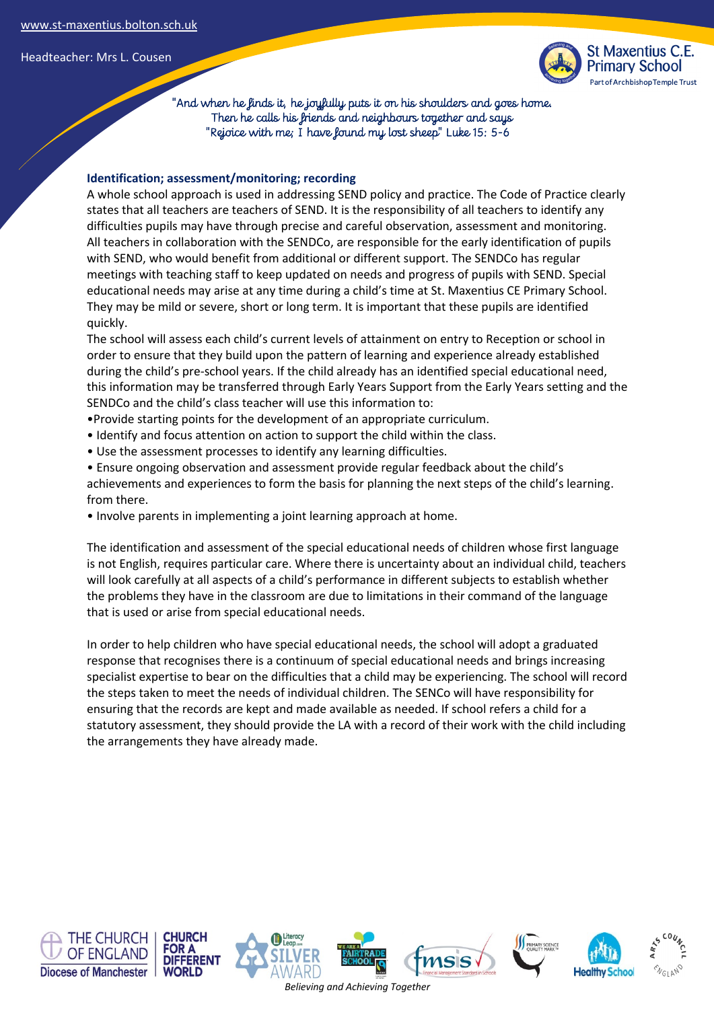

 "And when he finds it, he joyfully puts it on his shoulders and goes home. Then he calls his friends and neighbours together and says "Rejoice with me; I have found my lost sheep" Luke 15: 5-6

# **Identification; assessment/monitoring; recording**

A whole school approach is used in addressing SEND policy and practice. The Code of Practice clearly states that all teachers are teachers of SEND. It is the responsibility of all teachers to identify any difficulties pupils may have through precise and careful observation, assessment and monitoring. All teachers in collaboration with the SENDCo, are responsible for the early identification of pupils with SEND, who would benefit from additional or different support. The SENDCo has regular meetings with teaching staff to keep updated on needs and progress of pupils with SEND. Special educational needs may arise at any time during a child's time at St. Maxentius CE Primary School. They may be mild or severe, short or long term. It is important that these pupils are identified quickly.

The school will assess each child's current levels of attainment on entry to Reception or school in order to ensure that they build upon the pattern of learning and experience already established during the child's pre-school years. If the child already has an identified special educational need, this information may be transferred through Early Years Support from the Early Years setting and the SENDCo and the child's class teacher will use this information to:

- •Provide starting points for the development of an appropriate curriculum.
- Identify and focus attention on action to support the child within the class.
- Use the assessment processes to identify any learning difficulties.
- Ensure ongoing observation and assessment provide regular feedback about the child's achievements and experiences to form the basis for planning the next steps of the child's learning. from there.
- Involve parents in implementing a joint learning approach at home.

The identification and assessment of the special educational needs of children whose first language is not English, requires particular care. Where there is uncertainty about an individual child, teachers will look carefully at all aspects of a child's performance in different subjects to establish whether the problems they have in the classroom are due to limitations in their command of the language that is used or arise from special educational needs.

In order to help children who have special educational needs, the school will adopt a graduated response that recognises there is a continuum of special educational needs and brings increasing specialist expertise to bear on the difficulties that a child may be experiencing. The school will record the steps taken to meet the needs of individual children. The SENCo will have responsibility for ensuring that the records are kept and made available as needed. If school refers a child for a statutory assessment, they should provide the LA with a record of their work with the child including the arrangements they have already made.

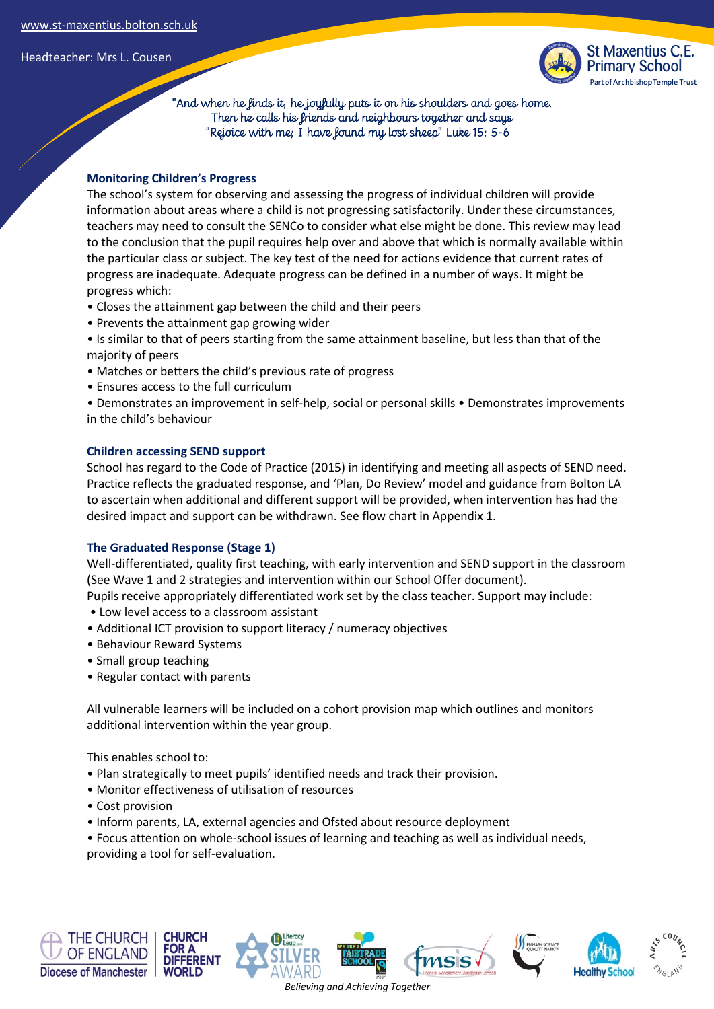

 "And when he finds it, he joyfully puts it on his shoulders and goes home. Then he calls his friends and neighbours together and says "Rejoice with me; I have found my lost sheep" Luke 15: 5-6

# **Monitoring Children's Progress**

The school's system for observing and assessing the progress of individual children will provide information about areas where a child is not progressing satisfactorily. Under these circumstances, teachers may need to consult the SENCo to consider what else might be done. This review may lead to the conclusion that the pupil requires help over and above that which is normally available within the particular class or subject. The key test of the need for actions evidence that current rates of progress are inadequate. Adequate progress can be defined in a number of ways. It might be progress which:

- Closes the attainment gap between the child and their peers
- Prevents the attainment gap growing wider
- Is similar to that of peers starting from the same attainment baseline, but less than that of the majority of peers
- Matches or betters the child's previous rate of progress
- Ensures access to the full curriculum
- Demonstrates an improvement in self-help, social or personal skills Demonstrates improvements in the child's behaviour

# **Children accessing SEND support**

School has regard to the Code of Practice (2015) in identifying and meeting all aspects of SEND need. Practice reflects the graduated response, and 'Plan, Do Review' model and guidance from Bolton LA to ascertain when additional and different support will be provided, when intervention has had the desired impact and support can be withdrawn. See flow chart in Appendix 1.

# **The Graduated Response (Stage 1)**

Well-differentiated, quality first teaching, with early intervention and SEND support in the classroom (See Wave 1 and 2 strategies and intervention within our School Offer document).

Pupils receive appropriately differentiated work set by the class teacher. Support may include:

- Low level access to a classroom assistant
- Additional ICT provision to support literacy / numeracy objectives
- Behaviour Reward Systems
- Small group teaching
- Regular contact with parents

All vulnerable learners will be included on a cohort provision map which outlines and monitors additional intervention within the year group.

This enables school to:

- Plan strategically to meet pupils' identified needs and track their provision.
- Monitor effectiveness of utilisation of resources
- Cost provision
- Inform parents, LA, external agencies and Ofsted about resource deployment
- Focus attention on whole-school issues of learning and teaching as well as individual needs, providing a tool for self-evaluation.









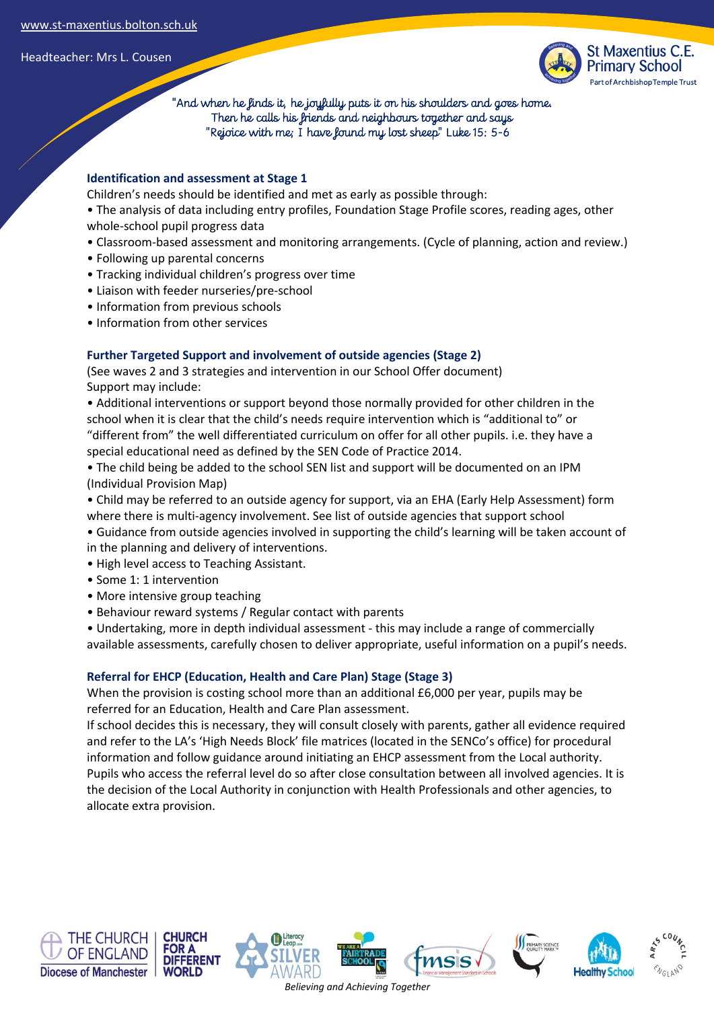

 "And when he finds it, he joyfully puts it on his shoulders and goes home. Then he calls his friends and neighbours together and says "Rejoice with me; I have found my lost sheep" Luke 15: 5-6

# **Identification and assessment at Stage 1**

Children's needs should be identified and met as early as possible through:

• The analysis of data including entry profiles, Foundation Stage Profile scores, reading ages, other whole-school pupil progress data

- Classroom-based assessment and monitoring arrangements. (Cycle of planning, action and review.)
- Following up parental concerns
- Tracking individual children's progress over time
- Liaison with feeder nurseries/pre-school
- Information from previous schools
- Information from other services

# **Further Targeted Support and involvement of outside agencies (Stage 2)**

(See waves 2 and 3 strategies and intervention in our School Offer document) Support may include:

• Additional interventions or support beyond those normally provided for other children in the school when it is clear that the child's needs require intervention which is "additional to" or "different from" the well differentiated curriculum on offer for all other pupils. i.e. they have a special educational need as defined by the SEN Code of Practice 2014.

• The child being be added to the school SEN list and support will be documented on an IPM (Individual Provision Map)

• Child may be referred to an outside agency for support, via an EHA (Early Help Assessment) form where there is multi-agency involvement. See list of outside agencies that support school

- Guidance from outside agencies involved in supporting the child's learning will be taken account of in the planning and delivery of interventions.
- High level access to Teaching Assistant.
- Some 1: 1 intervention
- More intensive group teaching
- Behaviour reward systems / Regular contact with parents

• Undertaking, more in depth individual assessment - this may include a range of commercially available assessments, carefully chosen to deliver appropriate, useful information on a pupil's needs.

# **Referral for EHCP (Education, Health and Care Plan) Stage (Stage 3)**

When the provision is costing school more than an additional £6,000 per year, pupils may be referred for an Education, Health and Care Plan assessment.

If school decides this is necessary, they will consult closely with parents, gather all evidence required and refer to the LA's 'High Needs Block' file matrices (located in the SENCo's office) for procedural information and follow guidance around initiating an EHCP assessment from the Local authority. Pupils who access the referral level do so after close consultation between all involved agencies. It is the decision of the Local Authority in conjunction with Health Professionals and other agencies, to allocate extra provision.











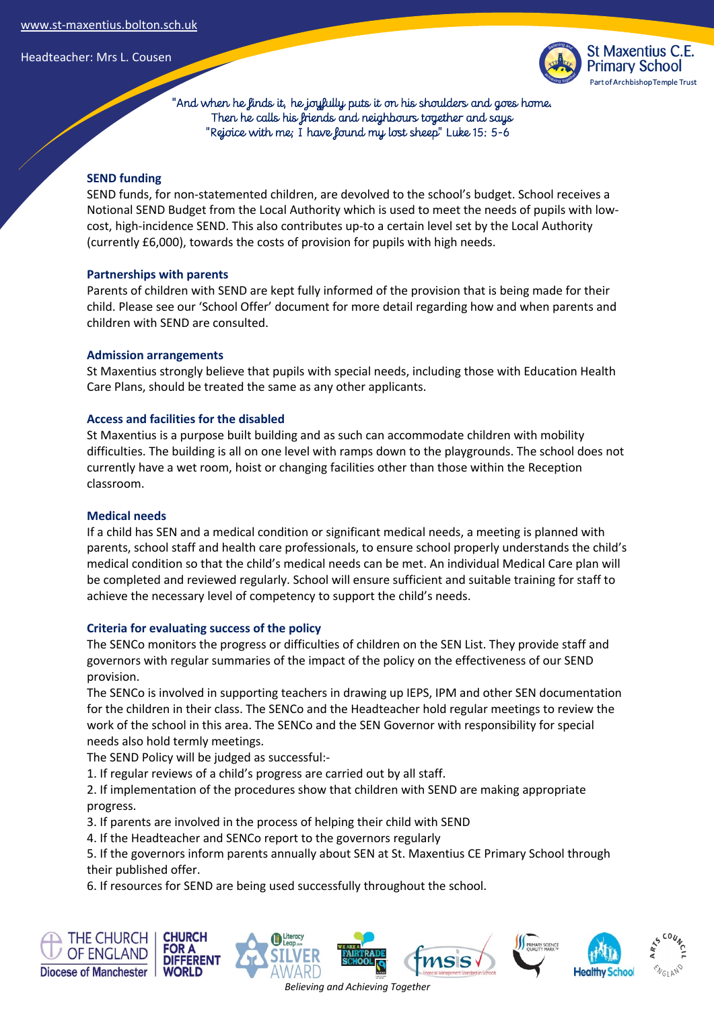

 "And when he finds it, he joyfully puts it on his shoulders and goes home. Then he calls his friends and neighbours together and says "Rejoice with me; I have found my lost sheep" Luke 15: 5-6

# **SEND funding**

SEND funds, for non-statemented children, are devolved to the school's budget. School receives a Notional SEND Budget from the Local Authority which is used to meet the needs of pupils with lowcost, high-incidence SEND. This also contributes up-to a certain level set by the Local Authority (currently £6,000), towards the costs of provision for pupils with high needs.

# **Partnerships with parents**

Parents of children with SEND are kept fully informed of the provision that is being made for their child. Please see our 'School Offer' document for more detail regarding how and when parents and children with SEND are consulted.

# **Admission arrangements**

St Maxentius strongly believe that pupils with special needs, including those with Education Health Care Plans, should be treated the same as any other applicants.

# **Access and facilities for the disabled**

St Maxentius is a purpose built building and as such can accommodate children with mobility difficulties. The building is all on one level with ramps down to the playgrounds. The school does not currently have a wet room, hoist or changing facilities other than those within the Reception classroom.

# **Medical needs**

If a child has SEN and a medical condition or significant medical needs, a meeting is planned with parents, school staff and health care professionals, to ensure school properly understands the child's medical condition so that the child's medical needs can be met. An individual Medical Care plan will be completed and reviewed regularly. School will ensure sufficient and suitable training for staff to achieve the necessary level of competency to support the child's needs.

# **Criteria for evaluating success of the policy**

The SENCo monitors the progress or difficulties of children on the SEN List. They provide staff and governors with regular summaries of the impact of the policy on the effectiveness of our SEND provision.

The SENCo is involved in supporting teachers in drawing up IEPS, IPM and other SEN documentation for the children in their class. The SENCo and the Headteacher hold regular meetings to review the work of the school in this area. The SENCo and the SEN Governor with responsibility for special needs also hold termly meetings.

The SEND Policy will be judged as successful:-

1. If regular reviews of a child's progress are carried out by all staff.

2. If implementation of the procedures show that children with SEND are making appropriate progress.

3. If parents are involved in the process of helping their child with SEND

4. If the Headteacher and SENCo report to the governors regularly

5. If the governors inform parents annually about SEN at St. Maxentius CE Primary School through their published offer.

6. If resources for SEND are being used successfully throughout the school.

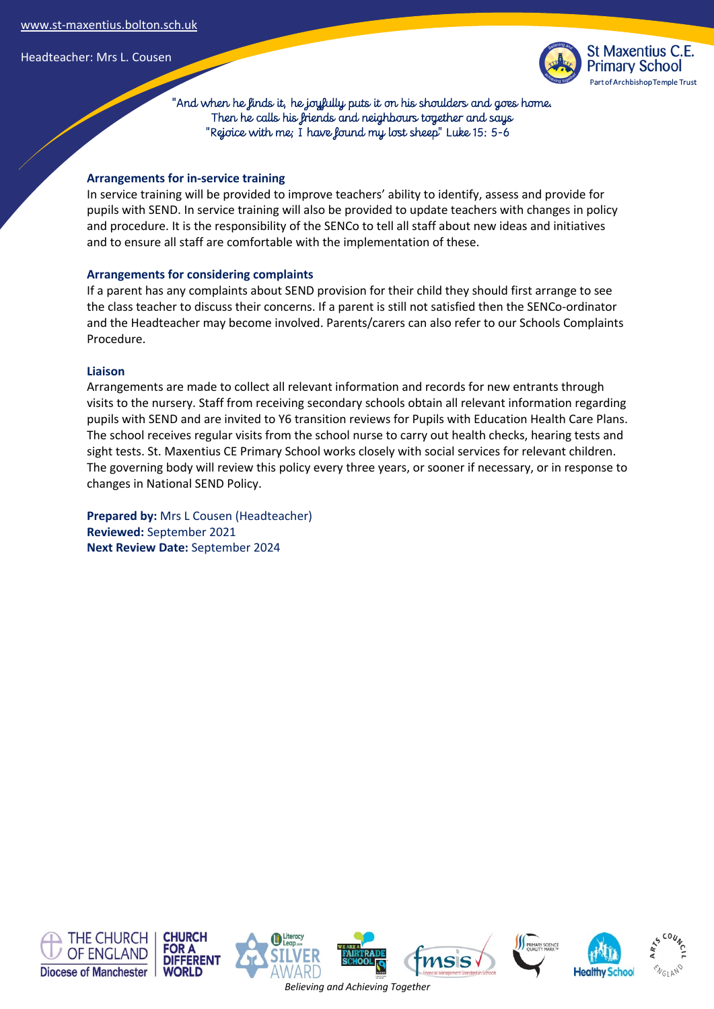

 "And when he finds it, he joyfully puts it on his shoulders and goes home. Then he calls his friends and neighbours together and says "Rejoice with me; I have found my lost sheep" Luke 15: 5-6

# **Arrangements for in-service training**

In service training will be provided to improve teachers' ability to identify, assess and provide for pupils with SEND. In service training will also be provided to update teachers with changes in policy and procedure. It is the responsibility of the SENCo to tell all staff about new ideas and initiatives and to ensure all staff are comfortable with the implementation of these.

# **Arrangements for considering complaints**

If a parent has any complaints about SEND provision for their child they should first arrange to see the class teacher to discuss their concerns. If a parent is still not satisfied then the SENCo-ordinator and the Headteacher may become involved. Parents/carers can also refer to our Schools Complaints Procedure.

# **Liaison**

Arrangements are made to collect all relevant information and records for new entrants through visits to the nursery. Staff from receiving secondary schools obtain all relevant information regarding pupils with SEND and are invited to Y6 transition reviews for Pupils with Education Health Care Plans. The school receives regular visits from the school nurse to carry out health checks, hearing tests and sight tests. St. Maxentius CE Primary School works closely with social services for relevant children. The governing body will review this policy every three years, or sooner if necessary, or in response to changes in National SEND Policy.

**Prepared by:** Mrs L Cousen (Headteacher) **Reviewed:** September 2021 **Next Review Date:** September 2024